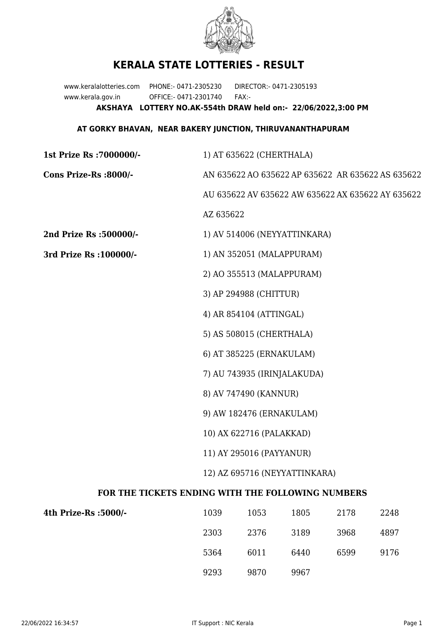

## **KERALA STATE LOTTERIES - RESULT**

www.keralalotteries.com PHONE:- 0471-2305230 DIRECTOR:- 0471-2305193 www.kerala.gov.in OFFICE:- 0471-2301740 FAX:- **AKSHAYA LOTTERY NO.AK-554th DRAW held on:- 22/06/2022,3:00 PM**

## **AT GORKY BHAVAN, NEAR BAKERY JUNCTION, THIRUVANANTHAPURAM**

| 1st Prize Rs : 7000000/-                          | 1) AT 635622 (CHERTHALA)                                                         |                              |      |      |                                                   |  |
|---------------------------------------------------|----------------------------------------------------------------------------------|------------------------------|------|------|---------------------------------------------------|--|
| Cons Prize-Rs :8000/-                             | AN 635622 AO 635622 AP 635622 AR 635622 AS 635622                                |                              |      |      |                                                   |  |
|                                                   |                                                                                  |                              |      |      | AU 635622 AV 635622 AW 635622 AX 635622 AY 635622 |  |
|                                                   | AZ 635622                                                                        |                              |      |      |                                                   |  |
| 2nd Prize Rs :500000/-                            |                                                                                  | 1) AV 514006 (NEYYATTINKARA) |      |      |                                                   |  |
| 3rd Prize Rs : 100000/-                           | 1) AN 352051 (MALAPPURAM)<br>2) AO 355513 (MALAPPURAM)                           |                              |      |      |                                                   |  |
|                                                   |                                                                                  |                              |      |      |                                                   |  |
|                                                   |                                                                                  | 3) AP 294988 (CHITTUR)       |      |      |                                                   |  |
|                                                   |                                                                                  | 4) AR 854104 (ATTINGAL)      |      |      |                                                   |  |
|                                                   |                                                                                  | 5) AS 508015 (CHERTHALA)     |      |      |                                                   |  |
|                                                   |                                                                                  | 6) AT 385225 (ERNAKULAM)     |      |      |                                                   |  |
|                                                   | 7) AU 743935 (IRINJALAKUDA)<br>8) AV 747490 (KANNUR)                             |                              |      |      |                                                   |  |
|                                                   |                                                                                  |                              |      |      |                                                   |  |
|                                                   | 9) AW 182476 (ERNAKULAM)<br>10) AX 622716 (PALAKKAD)<br>11) AY 295016 (PAYYANUR) |                              |      |      |                                                   |  |
|                                                   |                                                                                  |                              |      |      |                                                   |  |
|                                                   |                                                                                  |                              |      |      |                                                   |  |
|                                                   | 12) AZ 695716 (NEYYATTINKARA)                                                    |                              |      |      |                                                   |  |
| FOR THE TICKETS ENDING WITH THE FOLLOWING NUMBERS |                                                                                  |                              |      |      |                                                   |  |
| 4th Prize-Rs :5000/-                              | 1039                                                                             | 1053                         | 1805 | 2178 | 2248                                              |  |
|                                                   |                                                                                  |                              | ---- |      |                                                   |  |

2303 2376 3189 3968 4897 5364 6011 6440 6599 9176 9293 9870 9967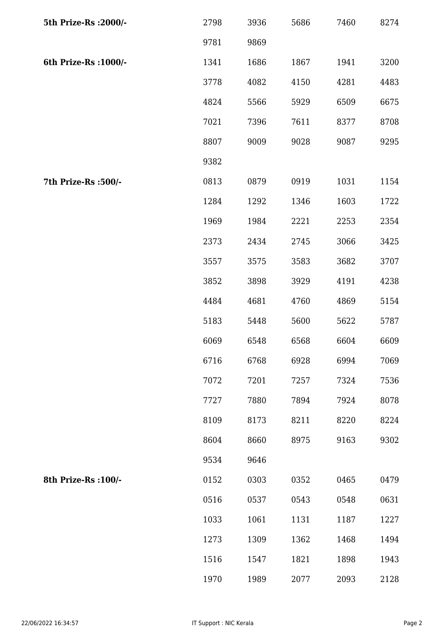| 5th Prize-Rs : 2000/- | 2798 | 3936 | 5686 | 7460 | 8274 |
|-----------------------|------|------|------|------|------|
|                       | 9781 | 9869 |      |      |      |
| 6th Prize-Rs : 1000/- | 1341 | 1686 | 1867 | 1941 | 3200 |
|                       | 3778 | 4082 | 4150 | 4281 | 4483 |
|                       | 4824 | 5566 | 5929 | 6509 | 6675 |
|                       | 7021 | 7396 | 7611 | 8377 | 8708 |
|                       | 8807 | 9009 | 9028 | 9087 | 9295 |
|                       | 9382 |      |      |      |      |
| 7th Prize-Rs : 500/-  | 0813 | 0879 | 0919 | 1031 | 1154 |
|                       | 1284 | 1292 | 1346 | 1603 | 1722 |
|                       | 1969 | 1984 | 2221 | 2253 | 2354 |
|                       | 2373 | 2434 | 2745 | 3066 | 3425 |
|                       | 3557 | 3575 | 3583 | 3682 | 3707 |
|                       | 3852 | 3898 | 3929 | 4191 | 4238 |
|                       | 4484 | 4681 | 4760 | 4869 | 5154 |
|                       | 5183 | 5448 | 5600 | 5622 | 5787 |
|                       | 6069 | 6548 | 6568 | 6604 | 6609 |
|                       | 6716 | 6768 | 6928 | 6994 | 7069 |
|                       | 7072 | 7201 | 7257 | 7324 | 7536 |
|                       | 7727 | 7880 | 7894 | 7924 | 8078 |
|                       | 8109 | 8173 | 8211 | 8220 | 8224 |
|                       | 8604 | 8660 | 8975 | 9163 | 9302 |
|                       | 9534 | 9646 |      |      |      |
| 8th Prize-Rs : 100/-  | 0152 | 0303 | 0352 | 0465 | 0479 |
|                       | 0516 | 0537 | 0543 | 0548 | 0631 |
|                       | 1033 | 1061 | 1131 | 1187 | 1227 |
|                       | 1273 | 1309 | 1362 | 1468 | 1494 |
|                       | 1516 | 1547 | 1821 | 1898 | 1943 |
|                       | 1970 | 1989 | 2077 | 2093 | 2128 |